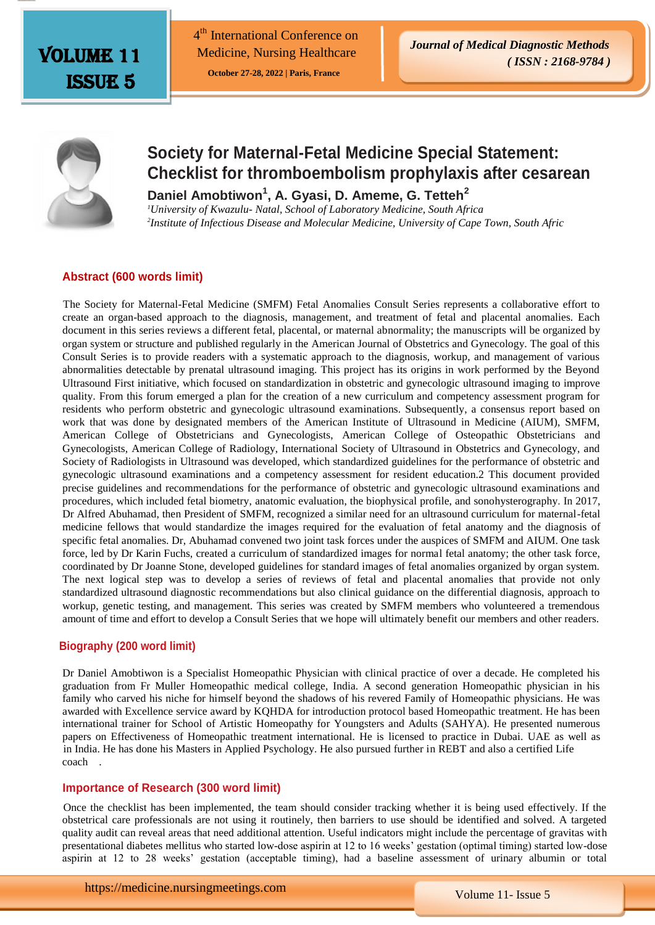Volume 11 Issue 5

4<sup>th</sup> International Conference on Medicine, Nursing Healthcare

 **October 27-28, 2022 | Paris, France** 



# **Society for Maternal-Fetal Medicine Special Statement: Checklist for thromboembolism prophylaxis after cesarean**

**Daniel Amobtiwon<sup>1</sup> , A. Gyasi, D. Ameme, G. Tetteh<sup>2</sup>**

*<sup>1</sup>University of Kwazulu- Natal, School of Laboratory Medicine, South Africa 2 Institute of Infectious Disease and Molecular Medicine, University of Cape Town, South Afric*

# **Abstract (600 words limit)**

 The Society for Maternal-Fetal Medicine (SMFM) Fetal Anomalies Consult Series represents a collaborative effort to create an organ-based approach to the diagnosis, management, and treatment of fetal and placental anomalies. Each document in this series reviews a different fetal, placental, or maternal abnormality; the manuscripts will be organized by organ system or structure and published regularly in the American Journal of Obstetrics and Gynecology. The goal of this Consult Series is to provide readers with a systematic approach to the diagnosis, workup, and management of various abnormalities detectable by prenatal ultrasound imaging. This project has its origins in work performed by the Beyond Ultrasound First initiative, which focused on standardization in obstetric and gynecologic ultrasound imaging to improve quality. From this forum emerged a plan for the creation of a new curriculum and competency assessment program for residents who perform obstetric and gynecologic ultrasound examinations. Subsequently, a consensus report based on work that was done by designated members of the American Institute of Ultrasound in Medicine (AIUM), SMFM, American College of Obstetricians and Gynecologists, American College of Osteopathic Obstetricians and Gynecologists, American College of Radiology, International Society of Ultrasound in Obstetrics and Gynecology, and Society of Radiologists in Ultrasound was developed, which standardized guidelines for the performance of obstetric and gynecologic ultrasound examinations and a competency assessment for resident education.2 This document provided precise guidelines and recommendations for the performance of obstetric and gynecologic ultrasound examinations and procedures, which included fetal biometry, anatomic evaluation, the biophysical profile, and sonohysterography. In 2017, Dr Alfred Abuhamad, then President of SMFM, recognized a similar need for an ultrasound curriculum for maternal-fetal medicine fellows that would standardize the images required for the evaluation of fetal anatomy and the diagnosis of specific fetal anomalies. Dr, Abuhamad convened two joint task forces under the auspices of SMFM and AIUM. One task force, led by Dr Karin Fuchs, created a curriculum of standardized images for normal fetal anatomy; the other task force, coordinated by Dr Joanne Stone, developed guidelines for standard images of fetal anomalies organized by organ system. The next logical step was to develop a series of reviews of fetal and placental anomalies that provide not only standardized ultrasound diagnostic recommendations but also clinical guidance on the differential diagnosis, approach to workup, genetic testing, and management. This series was created by SMFM members who volunteered a tremendous amount of time and effort to develop a Consult Series that we hope will ultimately benefit our members and other readers.

# **Biography (200 word limit)**

Dr Daniel Amobtiwon is a Specialist Homeopathic Physician with clinical practice of over a decade. He completed his graduation from Fr Muller Homeopathic medical college, India. A second generation Homeopathic physician in his family who carved his niche for himself beyond the shadows of his revered Family of Homeopathic physicians. He was awarded with Excellence service award by KQHDA for introduction protocol based Homeopathic treatment. He has been international trainer for School of Artistic Homeopathy for Youngsters and Adults (SAHYA). He presented numerous papers on Effectiveness of Homeopathic treatment international. He is licensed to practice in Dubai. UAE as well as in India. He has done his Masters in Applied Psychology. He also pursued further in REBT and also a certified Life coach .

#### **Importance of Research (300 word limit)**

 Once the checklist has been implemented, the team should consider tracking whether it is being used effectively. If the obstetrical care professionals are not using it routinely, then barriers to use should be identified and solved. A targeted quality audit can reveal areas that need additional attention. Useful indicators might include the percentage of gravitas with presentational diabetes mellitus who started low-dose aspirin at 12 to 16 weeks' gestation (optimal timing) started low-dose aspirin at 12 to 28 weeks' gestation (acceptable timing), had a baseline assessment of urinary albumin or total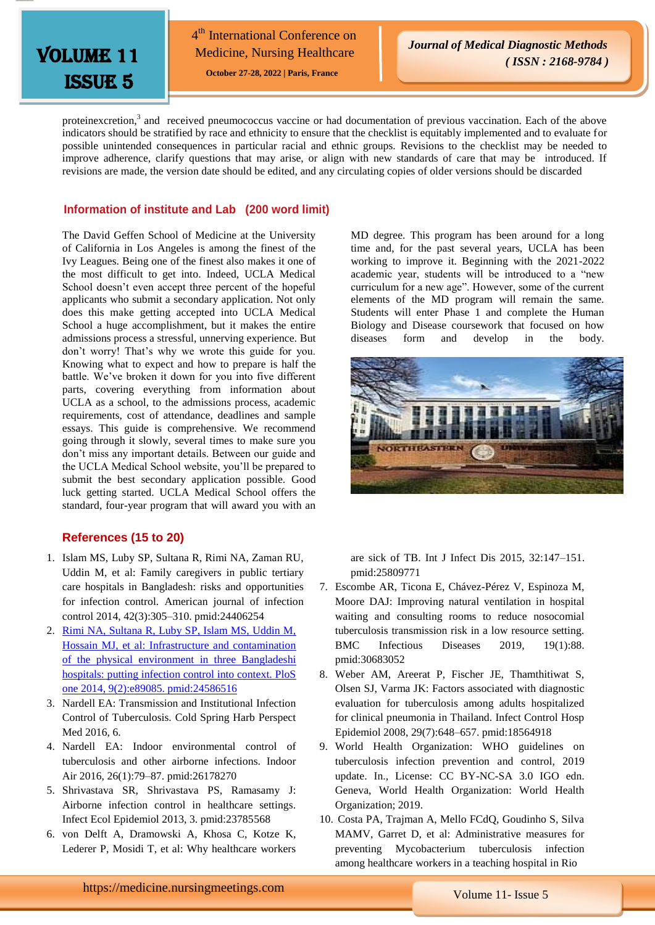

4<sup>th</sup> International Conference on Medicine, Nursing Healthcare

 **October 27-28, 2022 | Paris, France** 

proteinexcretion,<sup>3</sup> and received pneumococcus vaccine or had documentation of previous vaccination. Each of the above indicators should be stratified by race and ethnicity to ensure that the checklist is equitably implemented and to evaluate for possible unintended consequences in particular racial and ethnic groups. Revisions to the checklist may be needed to improve adherence, clarify questions that may arise, or align with new standards of care that may be introduced. If revisions are made, the version date should be edited, and any circulating copies of older versions should be discarded

## **Information of institute and Lab (200 word limit)**

The David Geffen School of Medicine at the University of California in Los Angeles is among the finest of the Ivy Leagues. Being one of the finest also makes it one of the most difficult to get into. Indeed, UCLA Medical School doesn't even accept three percent of the hopeful applicants who submit a secondary application. Not only does this make getting accepted into UCLA Medical School a huge accomplishment, but it makes the entire admissions process a stressful, unnerving experience. But don't worry! That's why we wrote this guide for you. Knowing what to expect and how to prepare is half the battle. We've broken it down for you into five different parts, covering everything from information about UCLA as a school, to the admissions process, academic requirements, cost of attendance, deadlines and sample essays. This guide is comprehensive. We recommend going through it slowly, several times to make sure you don't miss any important details. Between our guide and the UCLA Medical School website, you'll be prepared to submit the best secondary application possible. Good luck getting started. UCLA Medical School offers the standard, four-year program that will award you with an

# **References (15 to 20)**

- 1. Islam MS, Luby SP, Sultana R, Rimi NA, Zaman RU, Uddin M, et al: Family caregivers in public tertiary care hospitals in Bangladesh: risks and opportunities for infection control. American journal of infection control 2014, 42(3):305–310. pmid:24406254
- 2. [Rimi NA, Sultana R, Luby SP, Islam MS, Uddin M,](https://www.longdom.org/medical-diagnostic-methods/archive.html)  [Hossain MJ, et al: Infrastructure and contamination](https://www.longdom.org/medical-diagnostic-methods/archive.html)  [of the physical environment in three Bangladeshi](https://www.longdom.org/medical-diagnostic-methods/archive.html)  [hospitals: putting infection control into context. PloS](https://www.longdom.org/medical-diagnostic-methods/archive.html)  [one 2014, 9\(2\):e89085. pmid:24586516](https://www.longdom.org/medical-diagnostic-methods/archive.html)
- 3. Nardell EA: Transmission and Institutional Infection Control of Tuberculosis. Cold Spring Harb Perspect Med 2016, 6.
- 4. Nardell EA: Indoor environmental control of tuberculosis and other airborne infections. Indoor Air 2016, 26(1):79–87. pmid:26178270
- 5. Shrivastava SR, Shrivastava PS, Ramasamy J: Airborne infection control in healthcare settings. Infect Ecol Epidemiol 2013, 3. pmid:23785568
- 6. von Delft A, Dramowski A, Khosa C, Kotze K, Lederer P, Mosidi T, et al: Why healthcare workers

MD degree. This program has been around for a long time and, for the past several years, UCLA has been working to improve it. Beginning with the 2021-2022 academic year, students will be introduced to a "new curriculum for a new age". However, some of the current elements of the MD program will remain the same. Students will enter Phase 1 and complete the Human Biology and Disease coursework that focused on how diseases form and develop in the body.



are sick of TB. Int J Infect Dis 2015, 32:147–151. pmid:25809771

- 7. Escombe AR, Ticona E, Chávez-Pérez V, Espinoza M, Moore DAJ: Improving natural ventilation in hospital waiting and consulting rooms to reduce nosocomial tuberculosis transmission risk in a low resource setting. BMC Infectious Diseases 2019, 19(1):88. pmid:30683052
- 8. Weber AM, Areerat P, Fischer JE, Thamthitiwat S, Olsen SJ, Varma JK: Factors associated with diagnostic evaluation for tuberculosis among adults hospitalized for clinical pneumonia in Thailand. Infect Control Hosp Epidemiol 2008, 29(7):648–657. pmid:18564918
- 9. World Health Organization: WHO guidelines on tuberculosis infection prevention and control, 2019 update. In., License: CC BY-NC-SA 3.0 IGO edn. Geneva, World Health Organization: World Health Organization; 2019.
- 10. Costa PA, Trajman A, Mello FCdQ, Goudinho S, Silva MAMV, Garret D, et al: Administrative measures for preventing Mycobacterium tuberculosis infection among healthcare workers in a teaching hospital in Rio